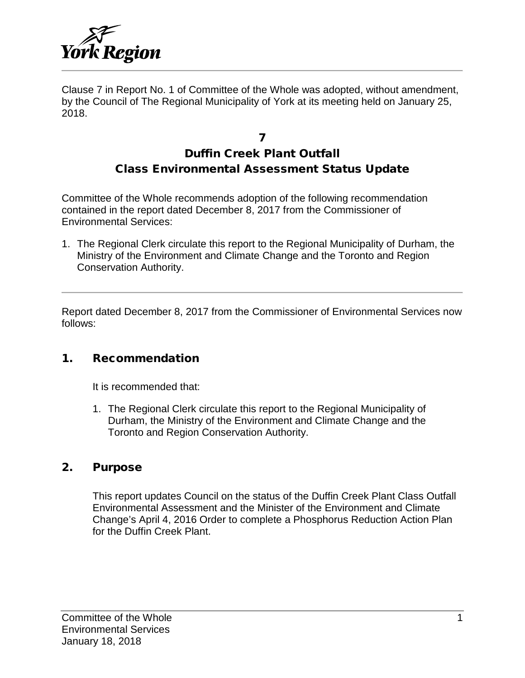

Clause 7 in Report No. 1 of Committee of the Whole was adopted, without amendment, by the Council of The Regional Municipality of York at its meeting held on January 25, 2018.

# 7 Duffin Creek Plant Outfall Class Environmental Assessment Status Update

Committee of the Whole recommends adoption of the following recommendation contained in the report dated December 8, 2017 from the Commissioner of Environmental Services:

1. The Regional Clerk circulate this report to the Regional Municipality of Durham, the Ministry of the Environment and Climate Change and the Toronto and Region Conservation Authority.

Report dated December 8, 2017 from the Commissioner of Environmental Services now follows:

## 1. Recommendation

It is recommended that:

1. The Regional Clerk circulate this report to the Regional Municipality of Durham, the Ministry of the Environment and Climate Change and the Toronto and Region Conservation Authority.

#### 2. Purpose

This report updates Council on the status of the Duffin Creek Plant Class Outfall Environmental Assessment and the Minister of the Environment and Climate Change's April 4, 2016 Order to complete a Phosphorus Reduction Action Plan for the Duffin Creek Plant.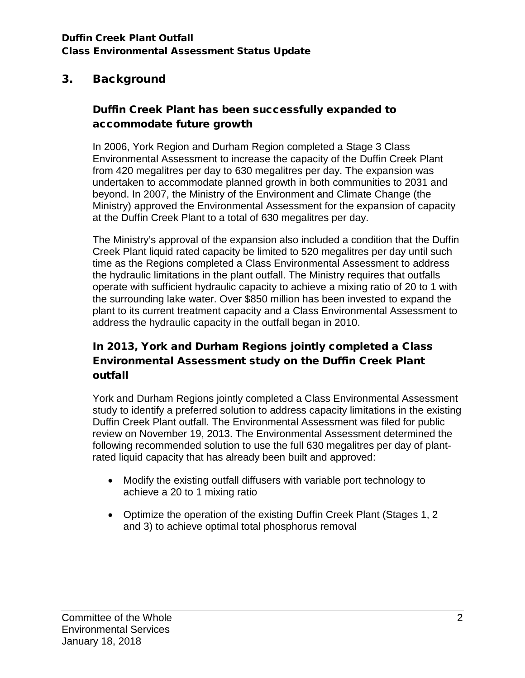# 3. Background

# Duffin Creek Plant has been successfully expanded to accommodate future growth

In 2006, York Region and Durham Region completed a Stage 3 Class Environmental Assessment to increase the capacity of the Duffin Creek Plant from 420 megalitres per day to 630 megalitres per day. The expansion was undertaken to accommodate planned growth in both communities to 2031 and beyond. In 2007, the Ministry of the Environment and Climate Change (the Ministry) approved the Environmental Assessment for the expansion of capacity at the Duffin Creek Plant to a total of 630 megalitres per day.

The Ministry's approval of the expansion also included a condition that the Duffin Creek Plant liquid rated capacity be limited to 520 megalitres per day until such time as the Regions completed a Class Environmental Assessment to address the hydraulic limitations in the plant outfall. The Ministry requires that outfalls operate with sufficient hydraulic capacity to achieve a mixing ratio of 20 to 1 with the surrounding lake water. Over \$850 million has been invested to expand the plant to its current treatment capacity and a Class Environmental Assessment to address the hydraulic capacity in the outfall began in 2010.

# In 2013, York and Durham Regions jointly completed a Class Environmental Assessment study on the Duffin Creek Plant outfall

York and Durham Regions jointly completed a Class Environmental Assessment study to identify a preferred solution to address capacity limitations in the existing Duffin Creek Plant outfall. The Environmental Assessment was filed for public review on November 19, 2013. The Environmental Assessment determined the following recommended solution to use the full 630 megalitres per day of plantrated liquid capacity that has already been built and approved:

- Modify the existing outfall diffusers with variable port technology to achieve a 20 to 1 mixing ratio
- Optimize the operation of the existing Duffin Creek Plant (Stages 1, 2 and 3) to achieve optimal total phosphorus removal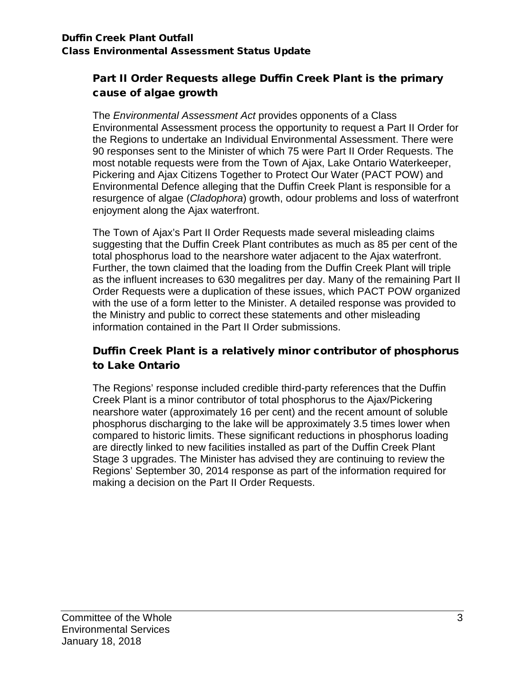## Part II Order Requests allege Duffin Creek Plant is the primary cause of algae growth

The *Environmental Assessment Act* provides opponents of a Class Environmental Assessment process the opportunity to request a Part II Order for the Regions to undertake an Individual Environmental Assessment. There were 90 responses sent to the Minister of which 75 were Part II Order Requests. The most notable requests were from the Town of Ajax, Lake Ontario Waterkeeper, Pickering and Ajax Citizens Together to Protect Our Water (PACT POW) and Environmental Defence alleging that the Duffin Creek Plant is responsible for a resurgence of algae (*Cladophora*) growth, odour problems and loss of waterfront enjoyment along the Ajax waterfront.

The Town of Ajax's Part II Order Requests made several misleading claims suggesting that the Duffin Creek Plant contributes as much as 85 per cent of the total phosphorus load to the nearshore water adjacent to the Ajax waterfront. Further, the town claimed that the loading from the Duffin Creek Plant will triple as the influent increases to 630 megalitres per day. Many of the remaining Part II Order Requests were a duplication of these issues, which PACT POW organized with the use of a form letter to the Minister. A detailed response was provided to the Ministry and public to correct these statements and other misleading information contained in the Part II Order submissions.

# Duffin Creek Plant is a relatively minor contributor of phosphorus to Lake Ontario

The Regions' response included credible third-party references that the Duffin Creek Plant is a minor contributor of total phosphorus to the Ajax/Pickering nearshore water (approximately 16 per cent) and the recent amount of soluble phosphorus discharging to the lake will be approximately 3.5 times lower when compared to historic limits. These significant reductions in phosphorus loading are directly linked to new facilities installed as part of the Duffin Creek Plant Stage 3 upgrades. The Minister has advised they are continuing to review the Regions' September 30, 2014 response as part of the information required for making a decision on the Part II Order Requests.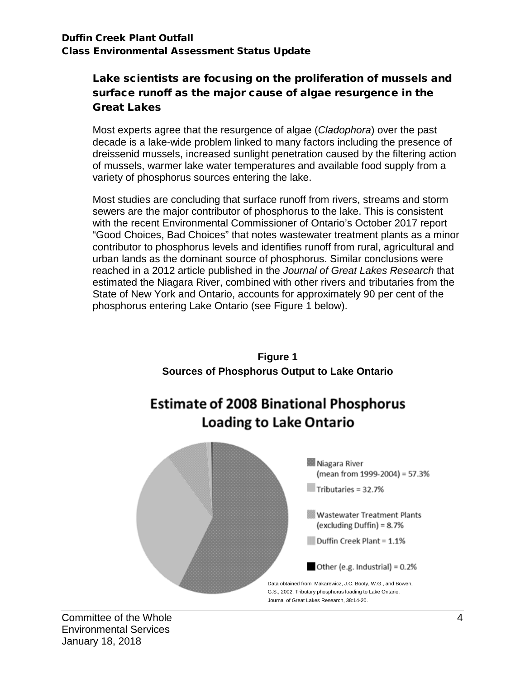## Lake scientists are focusing on the proliferation of mussels and surface runoff as the major cause of algae resurgence in the Great Lakes

Most experts agree that the resurgence of algae (*Cladophora*) over the past decade is a lake-wide problem linked to many factors including the presence of dreissenid mussels, increased sunlight penetration caused by the filtering action of mussels, warmer lake water temperatures and available food supply from a variety of phosphorus sources entering the lake.

Most studies are concluding that surface runoff from rivers, streams and storm sewers are the major contributor of phosphorus to the lake. This is consistent with the recent Environmental Commissioner of Ontario's October 2017 report "Good Choices, Bad Choices" that notes wastewater treatment plants as a minor contributor to phosphorus levels and identifies runoff from rural, agricultural and urban lands as the dominant source of phosphorus. Similar conclusions were reached in a 2012 article published in the *Journal of Great Lakes Research* that estimated the Niagara River, combined with other rivers and tributaries from the State of New York and Ontario, accounts for approximately 90 per cent of the phosphorus entering Lake Ontario (see Figure 1 below).



#### Committee of the Whole 4 and 200 km and 200 km and 200 km and 200 km and 30 km and 4 and 4 and 4 and 4 and 4 and 4 and 4 and 4 and 4 and 4 and 4 and 4 and 4 and 4 and 4 and 4 and 4 and 4 and 4 and 4 and 4 and 4 and 4 and 4 Environmental Services January 18, 2018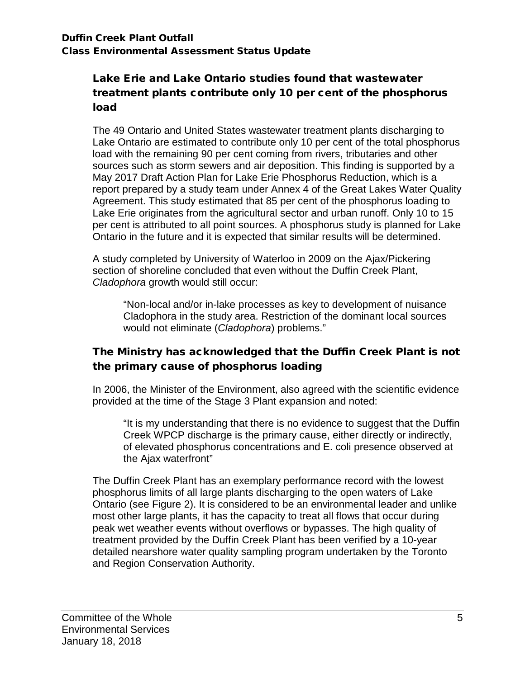## Lake Erie and Lake Ontario studies found that wastewater treatment plants contribute only 10 per cent of the phosphorus load

The 49 Ontario and United States wastewater treatment plants discharging to Lake Ontario are estimated to contribute only 10 per cent of the total phosphorus load with the remaining 90 per cent coming from rivers, tributaries and other sources such as storm sewers and air deposition. This finding is supported by a May 2017 Draft Action Plan for Lake Erie Phosphorus Reduction, which is a report prepared by a study team under Annex 4 of the Great Lakes Water Quality Agreement. This study estimated that 85 per cent of the phosphorus loading to Lake Erie originates from the agricultural sector and urban runoff. Only 10 to 15 per cent is attributed to all point sources. A phosphorus study is planned for Lake Ontario in the future and it is expected that similar results will be determined.

A study completed by University of Waterloo in 2009 on the Ajax/Pickering section of shoreline concluded that even without the Duffin Creek Plant, *Cladophora* growth would still occur:

"Non-local and/or in-lake processes as key to development of nuisance Cladophora in the study area. Restriction of the dominant local sources would not eliminate (*Cladophora*) problems."

## The Ministry has acknowledged that the Duffin Creek Plant is not the primary cause of phosphorus loading

In 2006, the Minister of the Environment, also agreed with the scientific evidence provided at the time of the Stage 3 Plant expansion and noted:

"It is my understanding that there is no evidence to suggest that the Duffin Creek WPCP discharge is the primary cause, either directly or indirectly, of elevated phosphorus concentrations and E. coli presence observed at the Ajax waterfront"

The Duffin Creek Plant has an exemplary performance record with the lowest phosphorus limits of all large plants discharging to the open waters of Lake Ontario (see Figure 2). It is considered to be an environmental leader and unlike most other large plants, it has the capacity to treat all flows that occur during peak wet weather events without overflows or bypasses. The high quality of treatment provided by the Duffin Creek Plant has been verified by a 10-year detailed nearshore water quality sampling program undertaken by the Toronto and Region Conservation Authority.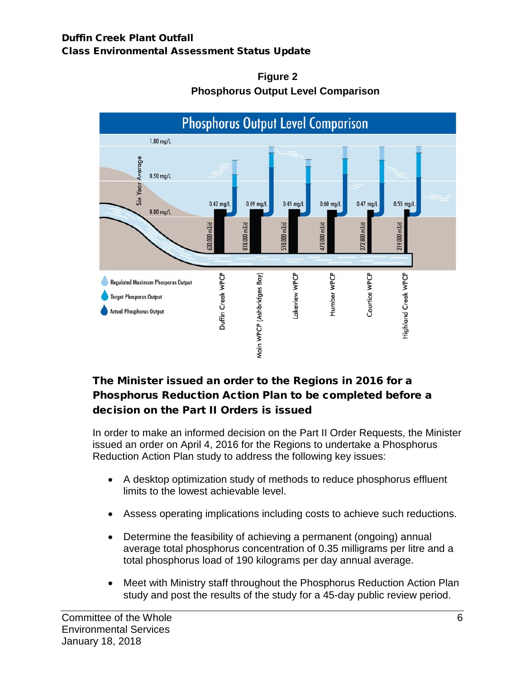

## **Figure 2 Phosphorus Output Level Comparison**

# The Minister issued an order to the Regions in 2016 for a Phosphorus Reduction Action Plan to be completed before a decision on the Part II Orders is issued

In order to make an informed decision on the Part II Order Requests, the Minister issued an order on April 4, 2016 for the Regions to undertake a Phosphorus Reduction Action Plan study to address the following key issues:

- A desktop optimization study of methods to reduce phosphorus effluent limits to the lowest achievable level.
- Assess operating implications including costs to achieve such reductions.
- Determine the feasibility of achieving a permanent (ongoing) annual average total phosphorus concentration of 0.35 milligrams per litre and a total phosphorus load of 190 kilograms per day annual average.
- Meet with Ministry staff throughout the Phosphorus Reduction Action Plan study and post the results of the study for a 45-day public review period.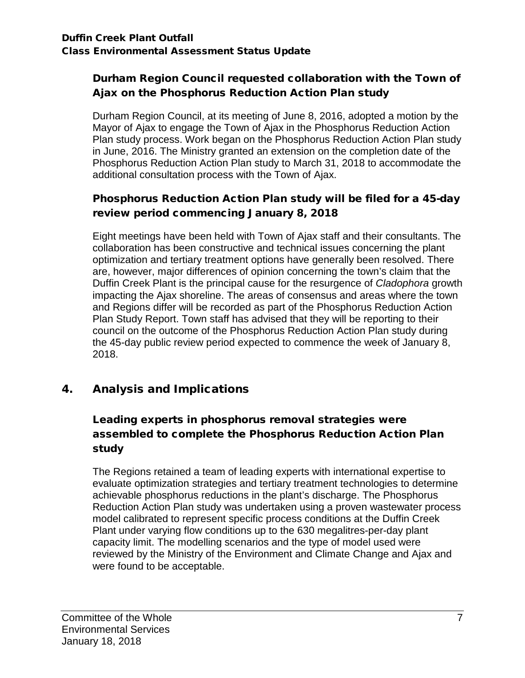# Durham Region Council requested collaboration with the Town of Ajax on the Phosphorus Reduction Action Plan study

Durham Region Council, at its meeting of June 8, 2016, adopted a motion by the Mayor of Ajax to engage the Town of Ajax in the Phosphorus Reduction Action Plan study process. Work began on the Phosphorus Reduction Action Plan study in June, 2016. The Ministry granted an extension on the completion date of the Phosphorus Reduction Action Plan study to March 31, 2018 to accommodate the additional consultation process with the Town of Ajax.

# Phosphorus Reduction Action Plan study will be filed for a 45-day review period commencing January 8, 2018

Eight meetings have been held with Town of Ajax staff and their consultants. The collaboration has been constructive and technical issues concerning the plant optimization and tertiary treatment options have generally been resolved. There are, however, major differences of opinion concerning the town's claim that the Duffin Creek Plant is the principal cause for the resurgence of *Cladophora* growth impacting the Ajax shoreline. The areas of consensus and areas where the town and Regions differ will be recorded as part of the Phosphorus Reduction Action Plan Study Report. Town staff has advised that they will be reporting to their council on the outcome of the Phosphorus Reduction Action Plan study during the 45-day public review period expected to commence the week of January 8, 2018.

# 4. Analysis and Implications

# Leading experts in phosphorus removal strategies were assembled to complete the Phosphorus Reduction Action Plan study

The Regions retained a team of leading experts with international expertise to evaluate optimization strategies and tertiary treatment technologies to determine achievable phosphorus reductions in the plant's discharge. The Phosphorus Reduction Action Plan study was undertaken using a proven wastewater process model calibrated to represent specific process conditions at the Duffin Creek Plant under varying flow conditions up to the 630 megalitres-per-day plant capacity limit. The modelling scenarios and the type of model used were reviewed by the Ministry of the Environment and Climate Change and Ajax and were found to be acceptable.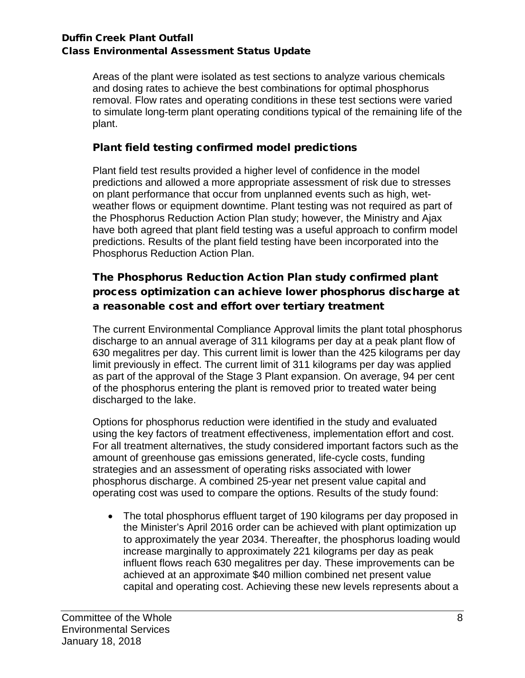Areas of the plant were isolated as test sections to analyze various chemicals and dosing rates to achieve the best combinations for optimal phosphorus removal. Flow rates and operating conditions in these test sections were varied to simulate long-term plant operating conditions typical of the remaining life of the plant.

## Plant field testing confirmed model predictions

Plant field test results provided a higher level of confidence in the model predictions and allowed a more appropriate assessment of risk due to stresses on plant performance that occur from unplanned events such as high, wetweather flows or equipment downtime. Plant testing was not required as part of the Phosphorus Reduction Action Plan study; however, the Ministry and Ajax have both agreed that plant field testing was a useful approach to confirm model predictions. Results of the plant field testing have been incorporated into the Phosphorus Reduction Action Plan.

# The Phosphorus Reduction Action Plan study confirmed plant process optimization can achieve lower phosphorus discharge at a reasonable cost and effort over tertiary treatment

The current Environmental Compliance Approval limits the plant total phosphorus discharge to an annual average of 311 kilograms per day at a peak plant flow of 630 megalitres per day. This current limit is lower than the 425 kilograms per day limit previously in effect. The current limit of 311 kilograms per day was applied as part of the approval of the Stage 3 Plant expansion. On average, 94 per cent of the phosphorus entering the plant is removed prior to treated water being discharged to the lake.

Options for phosphorus reduction were identified in the study and evaluated using the key factors of treatment effectiveness, implementation effort and cost. For all treatment alternatives, the study considered important factors such as the amount of greenhouse gas emissions generated, life-cycle costs, funding strategies and an assessment of operating risks associated with lower phosphorus discharge. A combined 25-year net present value capital and operating cost was used to compare the options. Results of the study found:

• The total phosphorus effluent target of 190 kilograms per day proposed in the Minister's April 2016 order can be achieved with plant optimization up to approximately the year 2034. Thereafter, the phosphorus loading would increase marginally to approximately 221 kilograms per day as peak influent flows reach 630 megalitres per day. These improvements can be achieved at an approximate \$40 million combined net present value capital and operating cost. Achieving these new levels represents about a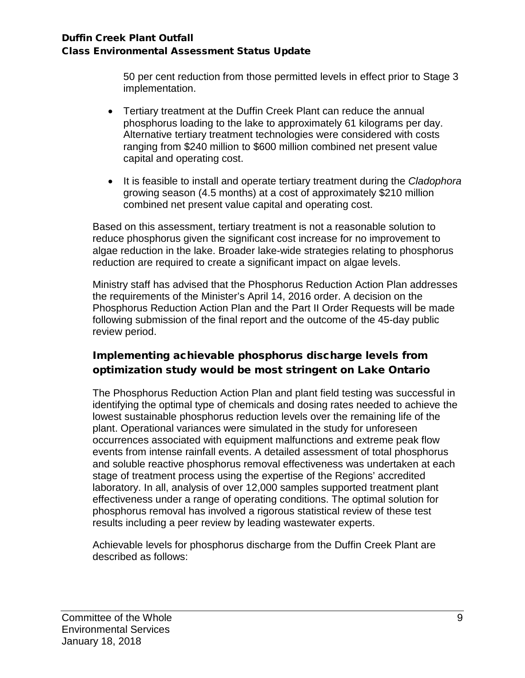50 per cent reduction from those permitted levels in effect prior to Stage 3 implementation.

- Tertiary treatment at the Duffin Creek Plant can reduce the annual phosphorus loading to the lake to approximately 61 kilograms per day. Alternative tertiary treatment technologies were considered with costs ranging from \$240 million to \$600 million combined net present value capital and operating cost.
- It is feasible to install and operate tertiary treatment during the *Cladophora* growing season (4.5 months) at a cost of approximately \$210 million combined net present value capital and operating cost.

Based on this assessment, tertiary treatment is not a reasonable solution to reduce phosphorus given the significant cost increase for no improvement to algae reduction in the lake. Broader lake-wide strategies relating to phosphorus reduction are required to create a significant impact on algae levels.

Ministry staff has advised that the Phosphorus Reduction Action Plan addresses the requirements of the Minister's April 14, 2016 order. A decision on the Phosphorus Reduction Action Plan and the Part II Order Requests will be made following submission of the final report and the outcome of the 45-day public review period.

# Implementing achievable phosphorus discharge levels from optimization study would be most stringent on Lake Ontario

The Phosphorus Reduction Action Plan and plant field testing was successful in identifying the optimal type of chemicals and dosing rates needed to achieve the lowest sustainable phosphorus reduction levels over the remaining life of the plant. Operational variances were simulated in the study for unforeseen occurrences associated with equipment malfunctions and extreme peak flow events from intense rainfall events. A detailed assessment of total phosphorus and soluble reactive phosphorus removal effectiveness was undertaken at each stage of treatment process using the expertise of the Regions' accredited laboratory. In all, analysis of over 12,000 samples supported treatment plant effectiveness under a range of operating conditions. The optimal solution for phosphorus removal has involved a rigorous statistical review of these test results including a peer review by leading wastewater experts.

Achievable levels for phosphorus discharge from the Duffin Creek Plant are described as follows: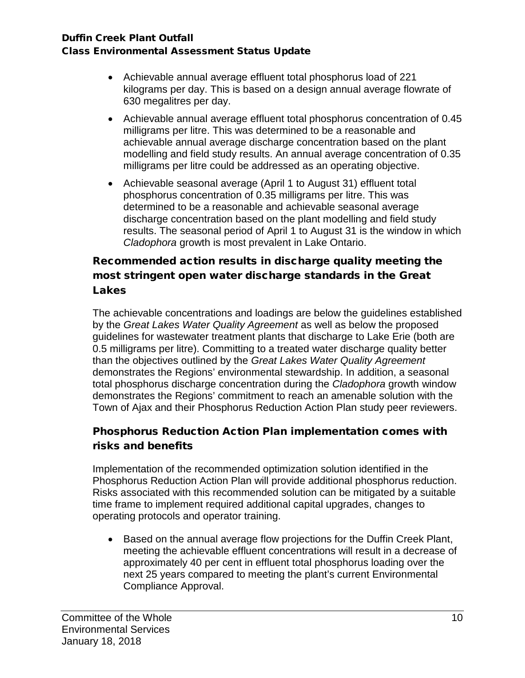- Achievable annual average effluent total phosphorus load of 221 kilograms per day. This is based on a design annual average flowrate of 630 megalitres per day.
- Achievable annual average effluent total phosphorus concentration of 0.45 milligrams per litre. This was determined to be a reasonable and achievable annual average discharge concentration based on the plant modelling and field study results. An annual average concentration of 0.35 milligrams per litre could be addressed as an operating objective.
- Achievable seasonal average (April 1 to August 31) effluent total phosphorus concentration of 0.35 milligrams per litre. This was determined to be a reasonable and achievable seasonal average discharge concentration based on the plant modelling and field study results. The seasonal period of April 1 to August 31 is the window in which *Cladophora* growth is most prevalent in Lake Ontario.

# Recommended action results in discharge quality meeting the most stringent open water discharge standards in the Great Lakes

The achievable concentrations and loadings are below the guidelines established by the *Great Lakes Water Quality Agreement* as well as below the proposed guidelines for wastewater treatment plants that discharge to Lake Erie (both are 0.5 milligrams per litre). Committing to a treated water discharge quality better than the objectives outlined by the *Great Lakes Water Quality Agreement* demonstrates the Regions' environmental stewardship. In addition, a seasonal total phosphorus discharge concentration during the *Cladophora* growth window demonstrates the Regions' commitment to reach an amenable solution with the Town of Ajax and their Phosphorus Reduction Action Plan study peer reviewers.

# Phosphorus Reduction Action Plan implementation comes with risks and benefits

Implementation of the recommended optimization solution identified in the Phosphorus Reduction Action Plan will provide additional phosphorus reduction. Risks associated with this recommended solution can be mitigated by a suitable time frame to implement required additional capital upgrades, changes to operating protocols and operator training.

• Based on the annual average flow projections for the Duffin Creek Plant, meeting the achievable effluent concentrations will result in a decrease of approximately 40 per cent in effluent total phosphorus loading over the next 25 years compared to meeting the plant's current Environmental Compliance Approval.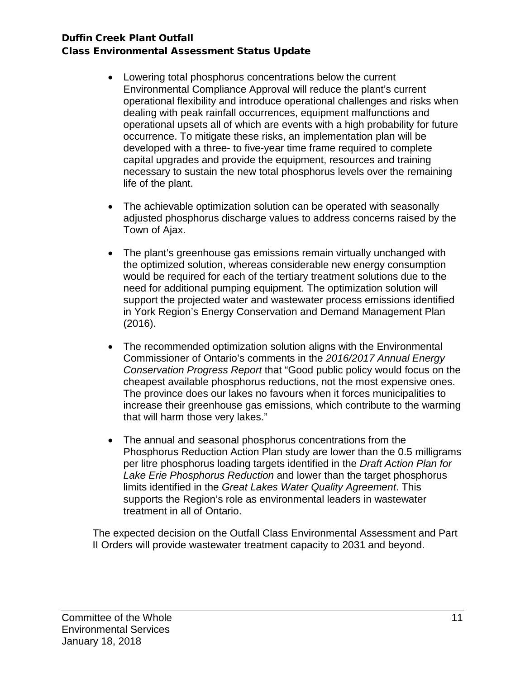- Lowering total phosphorus concentrations below the current Environmental Compliance Approval will reduce the plant's current operational flexibility and introduce operational challenges and risks when dealing with peak rainfall occurrences, equipment malfunctions and operational upsets all of which are events with a high probability for future occurrence. To mitigate these risks, an implementation plan will be developed with a three- to five-year time frame required to complete capital upgrades and provide the equipment, resources and training necessary to sustain the new total phosphorus levels over the remaining life of the plant.
- The achievable optimization solution can be operated with seasonally adjusted phosphorus discharge values to address concerns raised by the Town of Ajax.
- The plant's greenhouse gas emissions remain virtually unchanged with the optimized solution, whereas considerable new energy consumption would be required for each of the tertiary treatment solutions due to the need for additional pumping equipment. The optimization solution will support the projected water and wastewater process emissions identified in York Region's Energy Conservation and Demand Management Plan (2016).
- The recommended optimization solution aligns with the Environmental Commissioner of Ontario's comments in the *2016/2017 Annual Energy Conservation Progress Report* that "Good public policy would focus on the cheapest available phosphorus reductions, not the most expensive ones. The province does our lakes no favours when it forces municipalities to increase their greenhouse gas emissions, which contribute to the warming that will harm those very lakes."
- The annual and seasonal phosphorus concentrations from the Phosphorus Reduction Action Plan study are lower than the 0.5 milligrams per litre phosphorus loading targets identified in the *Draft Action Plan for Lake Erie Phosphorus Reduction* and lower than the target phosphorus limits identified in the *Great Lakes Water Quality Agreement*. This supports the Region's role as environmental leaders in wastewater treatment in all of Ontario.

The expected decision on the Outfall Class Environmental Assessment and Part II Orders will provide wastewater treatment capacity to 2031 and beyond.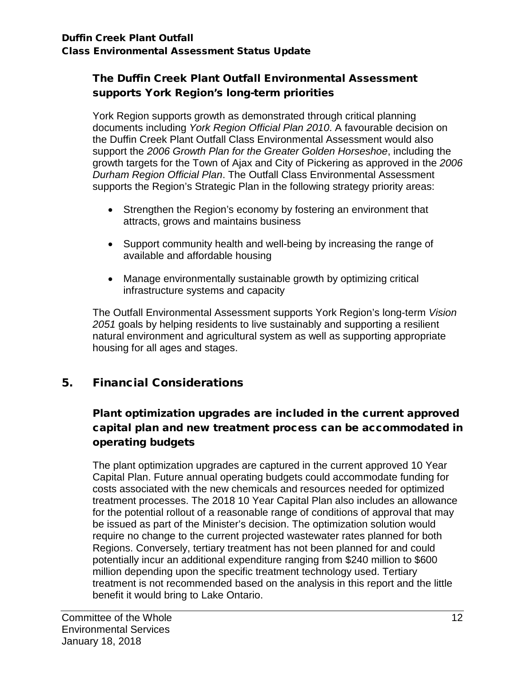## The Duffin Creek Plant Outfall Environmental Assessment supports York Region's long-term priorities

York Region supports growth as demonstrated through critical planning documents including *York Region Official Plan 2010*. A favourable decision on the Duffin Creek Plant Outfall Class Environmental Assessment would also support the *2006 Growth Plan for the Greater Golden Horseshoe*, including the growth targets for the Town of Ajax and City of Pickering as approved in the *2006 Durham Region Official Plan*. The Outfall Class Environmental Assessment supports the Region's Strategic Plan in the following strategy priority areas:

- Strengthen the Region's economy by fostering an environment that attracts, grows and maintains business
- Support community health and well-being by increasing the range of available and affordable housing
- Manage environmentally sustainable growth by optimizing critical infrastructure systems and capacity

The Outfall Environmental Assessment supports York Region's long-term *Vision 2051* goals by helping residents to live sustainably and supporting a resilient natural environment and agricultural system as well as supporting appropriate housing for all ages and stages.

# 5. Financial Considerations

# Plant optimization upgrades are included in the current approved capital plan and new treatment process can be accommodated in operating budgets

The plant optimization upgrades are captured in the current approved 10 Year Capital Plan. Future annual operating budgets could accommodate funding for costs associated with the new chemicals and resources needed for optimized treatment processes. The 2018 10 Year Capital Plan also includes an allowance for the potential rollout of a reasonable range of conditions of approval that may be issued as part of the Minister's decision. The optimization solution would require no change to the current projected wastewater rates planned for both Regions. Conversely, tertiary treatment has not been planned for and could potentially incur an additional expenditure ranging from \$240 million to \$600 million depending upon the specific treatment technology used. Tertiary treatment is not recommended based on the analysis in this report and the little benefit it would bring to Lake Ontario.